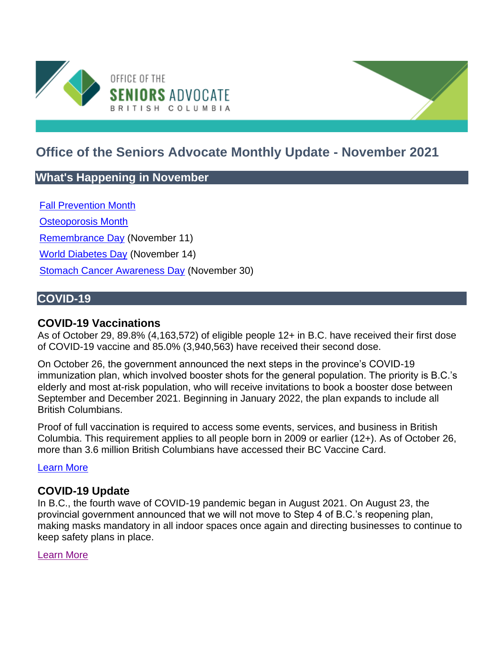

# **Office of the Seniors Advocate Monthly Update - November 2021**

# **What's Happening in November**

[Fall Prevention Month](https://www.fallpreventionmonth.ca/adults)

[Osteoporosis Month](https://osteoporosis.ca/)

[Remembrance Day](https://www.canada.ca/en/services/defence/caf/militaryhistory/remembrance/remembrance-day.html) (November 11)

[World Diabetes Day](https://worlddiabetesday.org/) (November 14)

[Stomach Cancer Awareness Day](https://mygutfeeling.ca/mgf365/) (November 30)

# **COVID-19**

### **COVID-19 Vaccinations**

As of October 29, 89.8% (4,163,572) of eligible people 12+ in B.C. have received their first dose of COVID-19 vaccine and 85.0% (3,940,563) have received their second dose.

On October 26, the government announced the next steps in the province's COVID-19 immunization plan, which involved booster shots for the general population. The priority is B.C.'s elderly and most at-risk population, who will receive invitations to book a booster dose between September and December 2021. Beginning in January 2022, the plan expands to include all British Columbians.

Proof of full vaccination is required to access some events, services, and business in British Columbia. This requirement applies to all people born in 2009 or earlier (12+). As of October 26, more than 3.6 million British Columbians have accessed their BC Vaccine Card.

#### [Learn More](https://www2.gov.bc.ca/gov/content/covid-19/vaccine/proof)

### **COVID-19 Update**

In B.C., the fourth wave of COVID-19 pandemic began in August 2021. On August 23, the provincial government announced that we will not move to Step 4 of B.C.'s reopening plan, making masks mandatory in all indoor spaces once again and directing businesses to continue to keep safety plans in place.

[Learn More](https://www.seniorsadvocatebc.ca/newsletter/nl2111-covid-19-update/)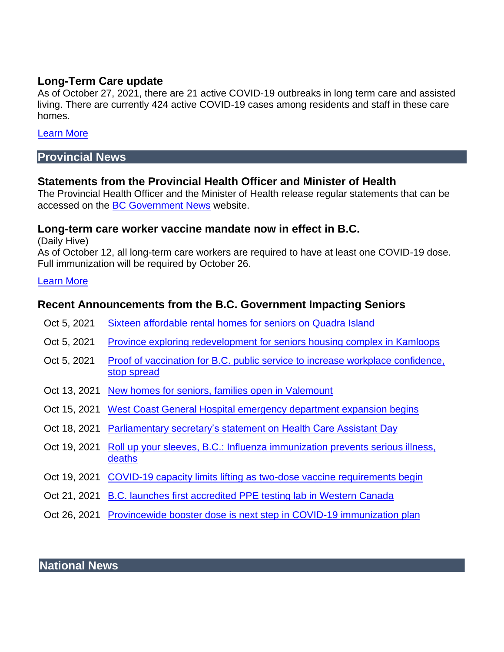### **Long-Term Care update**

As of October 27, 2021, there are 21 active COVID-19 outbreaks in long term care and assisted living. There are currently 424 active COVID-19 cases among residents and staff in these care homes.

### [Learn More](http://www.bccdc.ca/Health-Info-Site/Documents/COVID_sitrep/Weekly_COVID-19_Outbreak_Report_10272021.pdf)

# **Provincial News**

# **Statements from the Provincial Health Officer and Minister of Health**

The Provincial Health Officer and the Minister of Health release regular statements that can be accessed on the [BC Government News](https://news.gov.bc.ca/) website.

# **Long-term care worker vaccine mandate now in effect in B.C.**

(Daily Hive)

As of October 12, all long-term care workers are required to have at least one COVID-19 dose. Full immunization will be required by October 26.

#### [Learn More](https://dailyhive.com/vancouver/bc-covid-19-vaccines-staff-visitors-long-term-care)

# **Recent Announcements from the B.C. Government Impacting Seniors**

- Oct 5, 2021 [Sixteen affordable rental homes for seniors on Quadra Island](https://news.gov.bc.ca/releases/2021AG0147-001897)
- Oct 5, 2021 Province exploring redevelopment for seniors housing complex in Kamloops
- Oct 5, 2021 [Proof of vaccination for B.C. public service to increase workplace confidence,](https://news.gov.bc.ca/releases/2021FIN0055-001915)  [stop spread](https://news.gov.bc.ca/releases/2021FIN0055-001915)
- Oct 13, 2021 [New homes for seniors, families open in Valemount](https://news.gov.bc.ca/releases/2021AG0155-001965)
- Oct 15, 2021 [West Coast General Hospital emergency department expansion begins](https://news.gov.bc.ca/releases/2021HLTH0179-001975)
- Oct 18, 2021 [Parliamentary secretary's statement on Health Care Assistant Day](https://news.gov.bc.ca/releases/2021HLTH0181-001991)
- Oct 19, 2021 [Roll up your sleeves, B.C.: Influenza immunization prevents serious illness,](https://news.gov.bc.ca/releases/2021HLTH0062-001997)  [deaths](https://news.gov.bc.ca/releases/2021HLTH0062-001997)
- Oct 19, 2021 [COVID-19 capacity limits lifting as two-dose vaccine requirements begin](https://news.gov.bc.ca/releases/2021HLTH0184-001999)
- Oct 21, 2021 [B.C. launches first accredited PPE testing lab in Western Canada](https://news.gov.bc.ca/releases/2021HLTH0186-002010)
- Oct 26, 2021 [Provincewide booster dose is next step in COVID-19 immunization plan](https://news.gov.bc.ca/releases/2021HLTH0189-002044)

**National News**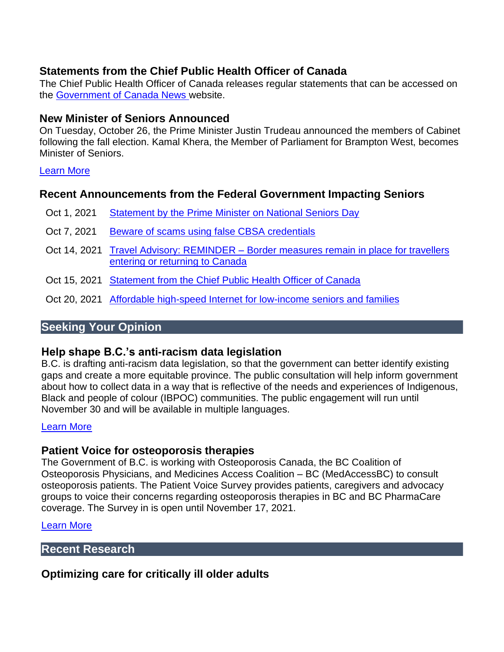# **Statements from the Chief Public Health Officer of Canada**

The Chief Public Health Officer of Canada releases regular statements that can be accessed on the [Government of Canada News w](https://www.canada.ca/en/news.html)ebsite.

### **New Minister of Seniors Announced**

On Tuesday, October 26, the Prime Minister Justin Trudeau announced the members of Cabinet following the fall election. Kamal Khera, the Member of Parliament for Brampton West, becomes Minister of Seniors.

#### [Learn More](https://pm.gc.ca/en/news/news-releases/2021/10/26/prime-minister-welcomes-new-cabinet)

### **Recent Announcements from the Federal Government Impacting Seniors**

- Oct 1, 2021 Statement by the Prime Minister on National Seniors Day
- Oct 7, 2021 [Beware of scams using false CBSA credentials](https://www.canada.ca/en/border-services-agency/news/2021/10/beware-of-scams-using-false-cbsa-credentials.html)
- Oct 14, 2021 Travel Advisory: REMINDER [Border measures remain in place for travellers](https://www.canada.ca/en/border-services-agency/news/2021/10/travel-advisory-reminder--border-measures-remain-in-place-for-travellers-entering-or-returning-to-canada.html)  [entering or returning to Canada](https://www.canada.ca/en/border-services-agency/news/2021/10/travel-advisory-reminder--border-measures-remain-in-place-for-travellers-entering-or-returning-to-canada.html)
- Oct 15, 2021 Statement from the Chief Public Health Officer of Canada
- Oct 20, 2021 [Affordable high-speed Internet for low-income seniors and families](https://www.canada.ca/en/innovation-science-economic-development/news/2021/08/affordable-high-speed-internet-for-low-income-seniors-and-families.html)

# **Seeking Your Opinion**

### **Help shape B.C.'s anti-racism data legislation**

B.C. is drafting anti-racism data legislation, so that the government can better identify existing gaps and create a more equitable province. The public consultation will help inform government about how to collect data in a way that is reflective of the needs and experiences of Indigenous, Black and people of colour (IBPOC) communities. The public engagement will run until November 30 and will be available in multiple languages.

### [Learn More](https://engage.gov.bc.ca/antiracism/data)

### **Patient Voice for osteoporosis therapies**

The Government of B.C. is working with Osteoporosis Canada, the BC Coalition of Osteoporosis Physicians, and Medicines Access Coalition – BC (MedAccessBC) to consult osteoporosis patients. The Patient Voice Survey provides patients, caregivers and advocacy groups to voice their concerns regarding osteoporosis therapies in BC and BC PharmaCare coverage. The Survey in is open until November 17, 2021.

[Learn More](https://www.bccop.org/) 

### **Recent Research**

# **Optimizing care for critically ill older adults**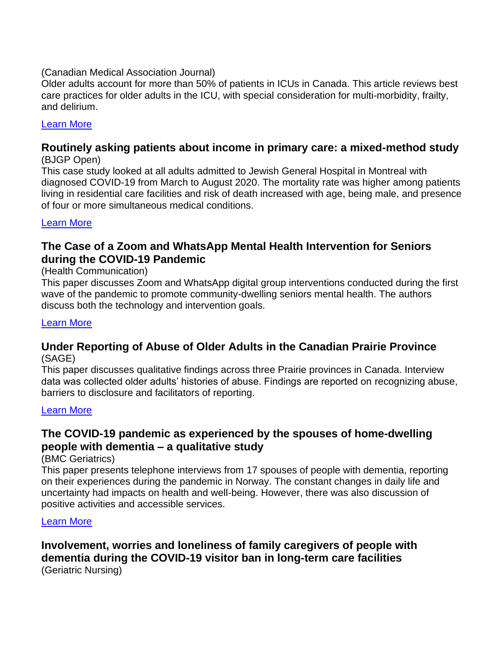#### (Canadian Medical Association Journal)

Older adults account for more than 50% of patients in ICUs in Canada. This article reviews best care practices for older adults in the ICU, with special consideration for multi-morbidity, frailty, and delirium.

### [Learn More](https://www.cmaj.ca/content/193/39/E1525)

#### **Routinely asking patients about income in primary care: a mixed-method study** (BJGP Open)

This case study looked at all adults admitted to Jewish General Hospital in Montreal with diagnosed COVID-19 from March to August 2020. The mortality rate was higher among patients living in residential care facilities and risk of death increased with age, being male, and presence of four or more simultaneous medical conditions.

#### [Learn More](https://bjgpopen.org/content/early/2021/10/19/BJGPO.2021.0090.abstract)

# **The Case of a Zoom and WhatsApp Mental Health Intervention for Seniors during the COVID-19 Pandemic**

#### (Health Communication)

This paper discusses Zoom and WhatsApp digital group interventions conducted during the first wave of the pandemic to promote community-dwelling seniors mental health. The authors discuss both the technology and intervention goals.

#### [Learn More](https://www.tandfonline.com/doi/full/10.1080/10410236.2021.1956071?scroll=top&needAccess=true)

#### **Under Reporting of Abuse of Older Adults in the Canadian Prairie Province** (SAGE)

This paper discusses qualitative findings across three Prairie provinces in Canada. Interview data was collected older adults' histories of abuse. Findings are reported on recognizing abuse, barriers to disclosure and facilitators of reporting.

#### [Learn More](https://journals.sagepub.com/doi/10.1177/21582440211053256)

# **The COVID-19 pandemic as experienced by the spouses of home-dwelling people with dementia – a qualitative study**

(BMC Geriatrics)

This paper presents telephone interviews from 17 spouses of people with dementia, reporting on their experiences during the pandemic in Norway. The constant changes in daily life and uncertainty had impacts on health and well-being. However, there was also discussion of positive activities and accessible services.

#### [Learn More](https://link.springer.com/article/10.1186/s12877-021-02551-w)

# **Involvement, worries and loneliness of family caregivers of people with dementia during the COVID-19 visitor ban in long-term care facilities** (Geriatric Nursing)